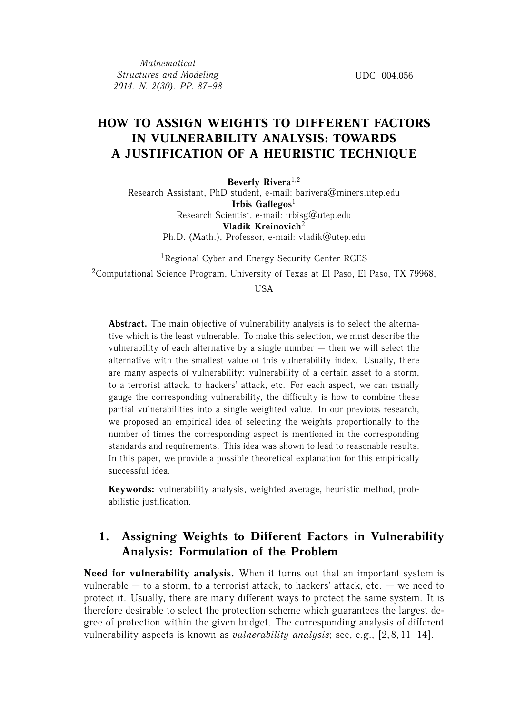*Mathematical Structures and Modeling 2014. N. 2(30). PP. 87–98*

UDC 004.056

# **HOW TO ASSIGN WEIGHTS TO DIFFERENT FACTORS IN VULNERABILITY ANALYSIS: TOWARDS A JUSTIFICATION OF A HEURISTIC TECHNIQUE**

**Beverly Rivera**1,2

Research Assistant, PhD student, e-mail: barivera@miners.utep.edu **Irbis Gallegos**<sup>1</sup> Research Scientist, e-mail: irbisg@utep.edu **Vladik Kreinovich**<sup>2</sup> Ph.D. (Math.), Professor, e-mail: vladik@utep.edu

<sup>1</sup>Regional Cyber and Energy Security Center RCES

<sup>2</sup>Computational Science Program, University of Texas at El Paso, El Paso, TX 79968,

**I**ISA

**Abstract.** The main objective of vulnerability analysis is to select the alternative which is the least vulnerable. To make this selection, we must describe the vulnerability of each alternative by a single number — then we will select the alternative with the smallest value of this vulnerability index. Usually, there are many aspects of vulnerability: vulnerability of a certain asset to a storm, to a terrorist attack, to hackers' attack, etc. For each aspect, we can usually gauge the corresponding vulnerability, the difficulty is how to combine these partial vulnerabilities into a single weighted value. In our previous research, we proposed an empirical idea of selecting the weights proportionally to the number of times the corresponding aspect is mentioned in the corresponding standards and requirements. This idea was shown to lead to reasonable results. In this paper, we provide a possible theoretical explanation for this empirically successful idea.

**Keywords:** vulnerability analysis, weighted average, heuristic method, probabilistic justification.

## **1. Assigning Weights to Different Factors in Vulnerability Analysis: Formulation of the Problem**

**Need for vulnerability analysis.** When it turns out that an important system is vulnerable — to a storm, to a terrorist attack, to hackers' attack, etc. — we need to protect it. Usually, there are many different ways to protect the same system. It is therefore desirable to select the protection scheme which guarantees the largest degree of protection within the given budget. The corresponding analysis of different vulnerability aspects is known as *vulnerability analysis*; see, e.g., [2, 8, 11–14].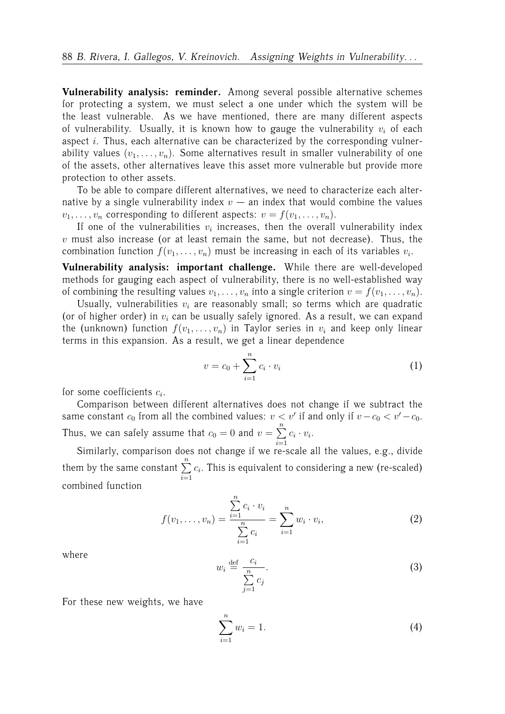**Vulnerability analysis: reminder.** Among several possible alternative schemes for protecting a system, we must select a one under which the system will be the least vulnerable. As we have mentioned, there are many different aspects of vulnerability. Usually, it is known how to gauge the vulnerability  $v_i$  of each aspect  $i$ . Thus, each alternative can be characterized by the corresponding vulnerability values  $(v_1, \ldots, v_n)$ . Some alternatives result in smaller vulnerability of one of the assets, other alternatives leave this asset more vulnerable but provide more protection to other assets.

To be able to compare different alternatives, we need to characterize each alternative by a single vulnerability index  $v -$  an index that would combine the values  $v_1, \ldots, v_n$  corresponding to different aspects:  $v = f(v_1, \ldots, v_n)$ .

If one of the vulnerabilities  $v_i$  increases, then the overall vulnerability index  $v$  must also increase (or at least remain the same, but not decrease). Thus, the combination function  $f(v_1, \ldots, v_n)$  must be increasing in each of its variables  $v_i$ .

**Vulnerability analysis: important challenge.** While there are well-developed methods for gauging each aspect of vulnerability, there is no well-established way of combining the resulting values  $v_1, \ldots, v_n$  into a single criterion  $v = f(v_1, \ldots, v_n)$ .

Usually, vulnerabilities  $v_i$  are reasonably small; so terms which are quadratic (or of higher order) in  $v_i$  can be usually safely ignored. As a result, we can expand the (unknown) function  $f(v_1, \ldots, v_n)$  in Taylor series in  $v_i$  and keep only linear terms in this expansion. As a result, we get a linear dependence

$$
v = c_0 + \sum_{i=1}^{n} c_i \cdot v_i
$$
 (1)

for some coefficients  $c_i$ .

Comparison between different alternatives does not change if we subtract the same constant  $c_0$  from all the combined values:  $v < v'$  if and only if  $v - c_0 < v' - c_0$ . Thus, we can safely assume that  $c_0 = 0$  and  $v = \sum_{n=1}^{\infty}$  $i=1$  $c_i \cdot v_i$ .

Similarly, comparison does not change if we re-scale all the values, e.g., divide them by the same constant  $\sum_{n=1}^{\infty}$  $i=1$  $c_i$ . This is equivalent to considering a new (re-scaled) combined function

$$
f(v_1, \ldots, v_n) = \frac{\sum_{i=1}^n c_i \cdot v_i}{\sum_{i=1}^n c_i} = \sum_{i=1}^n w_i \cdot v_i,
$$
 (2)

where

$$
w_i \stackrel{\text{def}}{=} \frac{c_i}{\sum_{j=1}^n c_j}.
$$
 (3)

For these new weights, we have

$$
\sum_{i=1}^{n} w_i = 1.
$$
 (4)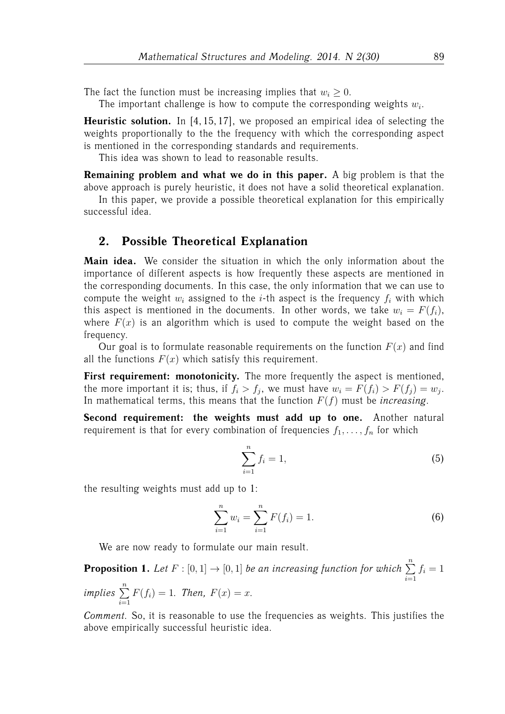The fact the function must be increasing implies that  $w_i \geq 0$ .

The important challenge is how to compute the corresponding weights  $w_i$ .

**Heuristic solution.** In [4, 15, 17], we proposed an empirical idea of selecting the weights proportionally to the the frequency with which the corresponding aspect is mentioned in the corresponding standards and requirements.

This idea was shown to lead to reasonable results.

**Remaining problem and what we do in this paper.** A big problem is that the above approach is purely heuristic, it does not have a solid theoretical explanation.

In this paper, we provide a possible theoretical explanation for this empirically successful idea.

### **2. Possible Theoretical Explanation**

**Main idea.** We consider the situation in which the only information about the importance of different aspects is how frequently these aspects are mentioned in the corresponding documents. In this case, the only information that we can use to compute the weight  $w_i$  assigned to the *i*-th aspect is the frequency  $f_i$  with which this aspect is mentioned in the documents. In other words, we take  $w_i = F(f_i)$ , where  $F(x)$  is an algorithm which is used to compute the weight based on the frequency.

Our goal is to formulate reasonable requirements on the function  $F(x)$  and find all the functions  $F(x)$  which satisfy this requirement.

First requirement: monotonicity. The more frequently the aspect is mentioned, the more important it is; thus, if  $f_i > f_j$ , we must have  $w_i = F(f_i) > F(f_j) = w_j$ . In mathematical terms, this means that the function F(f) must be *increasing*.

**Second requirement: the weights must add up to one.** Another natural requirement is that for every combination of frequencies  $f_1, \ldots, f_n$  for which

$$
\sum_{i=1}^{n} f_i = 1,
$$
\n(5)

the resulting weights must add up to 1:

$$
\sum_{i=1}^{n} w_i = \sum_{i=1}^{n} F(f_i) = 1.
$$
 (6)

We are now ready to formulate our main result.

**Proposition 1.** Let  $F : [0, 1] \rightarrow [0, 1]$  be an increasing function for which  $\sum^{n}$  $i=1$  $f_i = 1$ *implies*  $\sum^{n}$  $i=1$  $F(f_i) = 1$ *. Then,*  $F(x) = x$ *.* 

*Comment.* So, it is reasonable to use the frequencies as weights. This justifies the above empirically successful heuristic idea.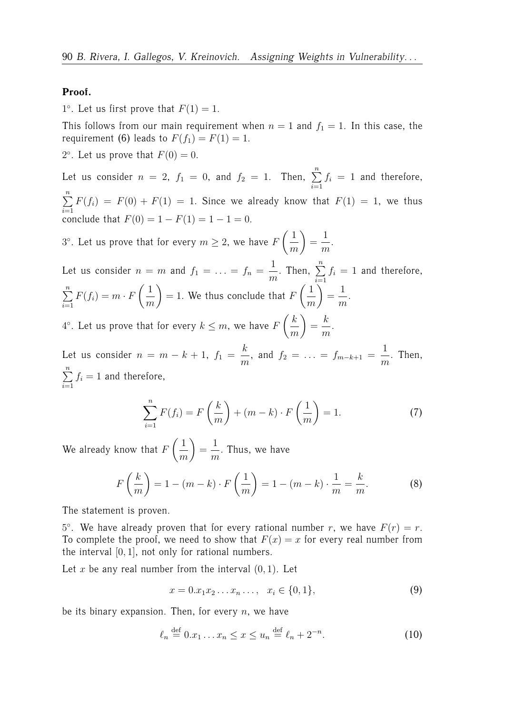### **Proof.**

1°. Let us first prove that  $F(1) = 1$ .

This follows from our main requirement when  $n = 1$  and  $f_1 = 1$ . In this case, the requirement (6) leads to  $F(f_1) = F(1) = 1$ .

2°. Let us prove that  $F(0) = 0$ .

Let us consider  $n = 2$ ,  $f_1 = 0$ , and  $f_2 = 1$ . Then,  $\sum^{n}$  $i=1$  $f_i = 1$  and therefore,  $\sum_{n=1}^{\infty}$  $i=1$  $F(f_i) = F(0) + F(1) = 1$ . Since we already know that  $F(1) = 1$ , we thus conclude that  $F(0) = 1 - F(1) = 1 - 1 = 0$ .

 $3^{\circ}$ . Let us prove that for every  $m \geq 2$ , we have F  $\sqrt{1}$ m  $\setminus$ = 1 m .

Let us consider  $n = m$  and  $f_1 = \ldots = f_n =$ 1  $\frac{1}{m}$ . Then,  $\sum\limits_{i=1}^{n}$  $i=1$  $f_i = 1$  and therefore,  $\sum_{n=1}^{\infty}$  $i=1$  $F(f_i) = m \cdot F$  $\sqrt{1}$ m  $\setminus$  $= 1.$  We thus conclude that  $F$  $\sqrt{1}$ m  $\setminus$ = 1 m .  $k$  $\setminus$ k

 $4^{\circ}$ . Let us prove that for every  $k \leq m$ , we have F m = m .

Let us consider  $n = m - k + 1$ ,  $f_1 = \frac{k}{m}$  $\frac{m}{m}$ , and  $f_2 = \ldots = f_{m-k+1} =$ 1  $\frac{1}{m}$ . Then,  $\sum_{n=1}^{\infty}$  $i=1$  $f_i = 1$  and therefore,

$$
\sum_{i=1}^{n} F(f_i) = F\left(\frac{k}{m}\right) + (m-k) \cdot F\left(\frac{1}{m}\right) = 1.
$$
 (7)

We already know that  $F$  $\sqrt{1}$ m  $\setminus$ = 1  $\frac{1}{m}$ . Thus, we have

$$
F\left(\frac{k}{m}\right) = 1 - (m - k) \cdot F\left(\frac{1}{m}\right) = 1 - (m - k) \cdot \frac{1}{m} = \frac{k}{m}.
$$
 (8)

The statement is proven.

5°. We have already proven that for every rational number r, we have  $F(r) = r$ . To complete the proof, we need to show that  $F(x) = x$  for every real number from the interval  $[0, 1]$ , not only for rational numbers.

Let x be any real number from the interval  $(0, 1)$ . Let

$$
x = 0.x_1x_2 \dots x_n \dots, \quad x_i \in \{0, 1\},\tag{9}
$$

be its binary expansion. Then, for every  $n$ , we have

$$
\ell_n \stackrel{\text{def}}{=} 0.x_1 \dots x_n \le x \le u_n \stackrel{\text{def}}{=} \ell_n + 2^{-n}.\tag{10}
$$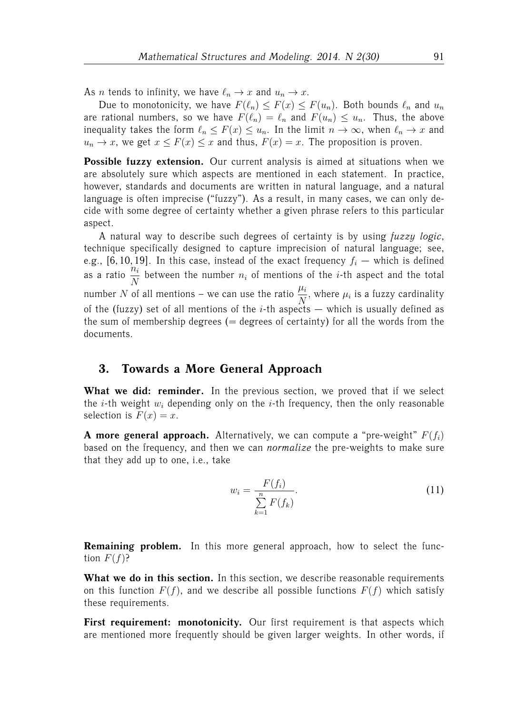As *n* tends to infinity, we have  $\ell_n \to x$  and  $u_n \to x$ .

Due to monotonicity, we have  $F(\ell_n) \leq F(x) \leq F(u_n)$ . Both bounds  $\ell_n$  and  $u_n$ are rational numbers, so we have  $F(\ell_n) = \ell_n$  and  $F(u_n) \leq u_n$ . Thus, the above inequality takes the form  $\ell_n \leq F(x) \leq u_n$ . In the limit  $n \to \infty$ , when  $\ell_n \to x$  and  $u_n \to x$ , we get  $x \leq F(x) \leq x$  and thus,  $F(x) = x$ . The proposition is proven.

**Possible fuzzy extension.** Our current analysis is aimed at situations when we are absolutely sure which aspects are mentioned in each statement. In practice, however, standards and documents are written in natural language, and a natural language is often imprecise ("fuzzy"). As a result, in many cases, we can only decide with some degree of certainty whether a given phrase refers to this particular aspect.

A natural way to describe such degrees of certainty is by using *fuzzy logic*, technique specifically designed to capture imprecision of natural language; see, e.g., [6, 10, 19]. In this case, instead of the exact frequency  $f_i$  — which is defined as a ratio  $\frac{n_i}{N}$  $\frac{n_i}{N}$  between the number  $n_i$  of mentions of the *i*-th aspect and the total number N of all mentions – we can use the ratio  $\frac{\mu_i}{N}$ , where  $\mu_i$  is a fuzzy cardinality of the (fuzzy) set of all mentions of the  $i$ -th aspects  $-$  which is usually defined as the sum of membership degrees  $($  = degrees of certainty) for all the words from the documents.

### **3. Towards a More General Approach**

**What we did: reminder.** In the previous section, we proved that if we select the *i*-th weight  $w_i$  depending only on the *i*-th frequency, then the only reasonable selection is  $F(x) = x$ .

**A more general approach.** Alternatively, we can compute a "pre-weight"  $F(f_i)$ based on the frequency, and then we can *normalize* the pre-weights to make sure that they add up to one, i.e., take

$$
w_i = \frac{F(f_i)}{\sum\limits_{k=1}^{n} F(f_k)}.
$$
\n
$$
(11)
$$

**Remaining problem.** In this more general approach, how to select the function  $F(f)$ ?

**What we do in this section.** In this section, we describe reasonable requirements on this function  $F(f)$ , and we describe all possible functions  $F(f)$  which satisfy these requirements.

First requirement: monotonicity. Our first requirement is that aspects which are mentioned more frequently should be given larger weights. In other words, if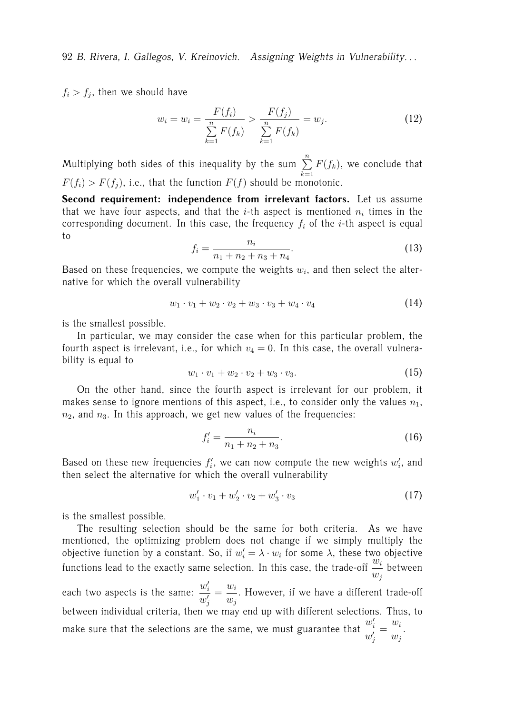$f_i > f_j$ , then we should have

$$
w_i = w_i = \frac{F(f_i)}{\sum_{k=1}^{n} F(f_k)} > \frac{F(f_j)}{\sum_{k=1}^{n} F(f_k)} = w_j.
$$
 (12)

Multiplying both sides of this inequality by the sum  $\sum^{n}$  $k=1$  $F(f_k)$ , we conclude that  $F(f_i) > F(f_i)$ , i.e., that the function  $F(f)$  should be monotonic.

**Second requirement: independence from irrelevant factors.** Let us assume that we have four aspects, and that the *i*-th aspect is mentioned  $n_i$  times in the corresponding document. In this case, the frequency  $f_i$  of the *i*-th aspect is equal to

$$
f_i = \frac{n_i}{n_1 + n_2 + n_3 + n_4}.\tag{13}
$$

Based on these frequencies, we compute the weights  $w_i$ , and then select the alternative for which the overall vulnerability

$$
w_1 \cdot v_1 + w_2 \cdot v_2 + w_3 \cdot v_3 + w_4 \cdot v_4 \tag{14}
$$

is the smallest possible.

In particular, we may consider the case when for this particular problem, the fourth aspect is irrelevant, i.e., for which  $v_4 = 0$ . In this case, the overall vulnerability is equal to

$$
w_1 \cdot v_1 + w_2 \cdot v_2 + w_3 \cdot v_3. \tag{15}
$$

On the other hand, since the fourth aspect is irrelevant for our problem, it makes sense to ignore mentions of this aspect, i.e., to consider only the values  $n_1$ ,  $n_2$ , and  $n_3$ . In this approach, we get new values of the frequencies:

$$
f_i' = \frac{n_i}{n_1 + n_2 + n_3}.\tag{16}
$$

Based on these new frequencies  $f_i'$ , we can now compute the new weights  $w_i'$ , and then select the alternative for which the overall vulnerability

$$
w_1' \cdot v_1 + w_2' \cdot v_2 + w_3' \cdot v_3 \tag{17}
$$

is the smallest possible.

The resulting selection should be the same for both criteria. As we have mentioned, the optimizing problem does not change if we simply multiply the objective function by a constant. So, if  $w'_i = \lambda \cdot w_i$  for some  $\lambda$ , these two objective functions lead to the exactly same selection. In this case, the trade-off  $\frac{w_i}{w_i}$  $\frac{w_i}{w_j}$  between each two aspects is the same:  $\frac{w'_i}{a}$  $w_j'$  $=\frac{w_i}{w_i}$  $w_j$ . However, if we have a different trade-off between individual criteria, then we may end up with different selections. Thus, to make sure that the selections are the same, we must guarantee that  $\frac{w_i^j}{q_i^j}$  $w_j'$  $=\frac{w_i}{w_i}$  $w_j$ .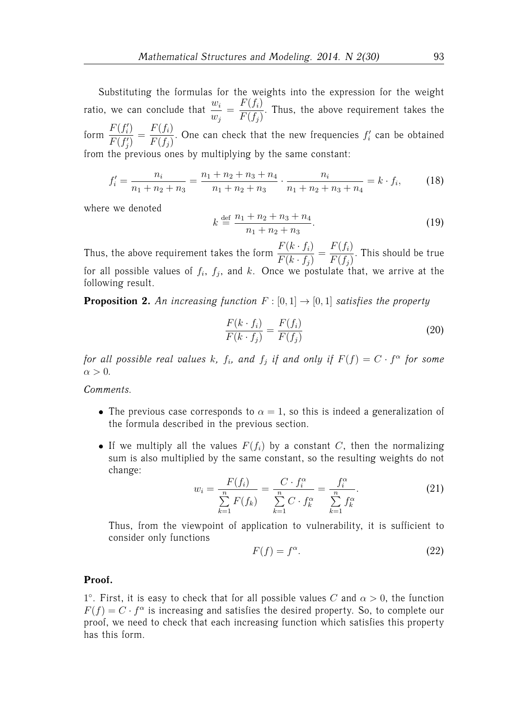Substituting the formulas for the weights into the expression for the weight ratio, we can conclude that  $\frac{w_i}{w_i}$  $w_j$  $=\frac{F(f_i)}{F(f_i)}$  $F(f_j)$ . Thus, the above requirement takes the form  $\frac{F(f_i')}{F(f_i')}$  $F(f'_j)$  $=\frac{F(f_i)}{F(f_i)}$  $F(f_j)$ . One can check that the new frequencies  $f_i'$  can be obtained from the previous ones by multiplying by the same constant:

$$
f_i' = \frac{n_i}{n_1 + n_2 + n_3} = \frac{n_1 + n_2 + n_3 + n_4}{n_1 + n_2 + n_3} \cdot \frac{n_i}{n_1 + n_2 + n_3 + n_4} = k \cdot f_i,
$$
 (18)

where we denoted

$$
k \stackrel{\text{def}}{=} \frac{n_1 + n_2 + n_3 + n_4}{n_1 + n_2 + n_3}.
$$
 (19)

Thus, the above requirement takes the form  $\frac{F(k \cdot f_i)}{F(k \cdot f)}$  $F(k \cdot f_j)$  $=\frac{F(f_i)}{F(f_i)}$  $F(f_j)$ . This should be true for all possible values of  $f_i, f_j,$  and  $k$ . Once we postulate that, we arrive at the following result.

**Proposition 2.** An increasing function  $F : [0, 1] \rightarrow [0, 1]$  satisfies the property

$$
\frac{F(k \cdot f_i)}{F(k \cdot f_j)} = \frac{F(f_i)}{F(f_j)}\tag{20}
$$

*for all possible real values*  $k$ ,  $f_i$ , and  $f_j$  *if and only if*  $F(f) = C \cdot f^{\alpha}$  for some  $\alpha > 0$ .

*Comments.*

- The previous case corresponds to  $\alpha = 1$ , so this is indeed a generalization of the formula described in the previous section.
- If we multiply all the values  $F(f_i)$  by a constant C, then the normalizing sum is also multiplied by the same constant, so the resulting weights do not change:

$$
w_{i} = \frac{F(f_{i})}{\sum_{k=1}^{n} F(f_{k})} = \frac{C \cdot f_{i}^{\alpha}}{\sum_{k=1}^{n} C \cdot f_{k}^{\alpha}} = \frac{f_{i}^{\alpha}}{\sum_{k=1}^{n} f_{k}^{\alpha}}.
$$
 (21)

Thus, from the viewpoint of application to vulnerability, it is sufficient to consider only functions

$$
F(f) = f^{\alpha}.
$$
 (22)

#### **Proof.**

1°. First, it is easy to check that for all possible values C and  $\alpha > 0$ , the function  $F(f) = C \cdot f^{\alpha}$  is increasing and satisfies the desired property. So, to complete our proof, we need to check that each increasing function which satisfies this property has this form.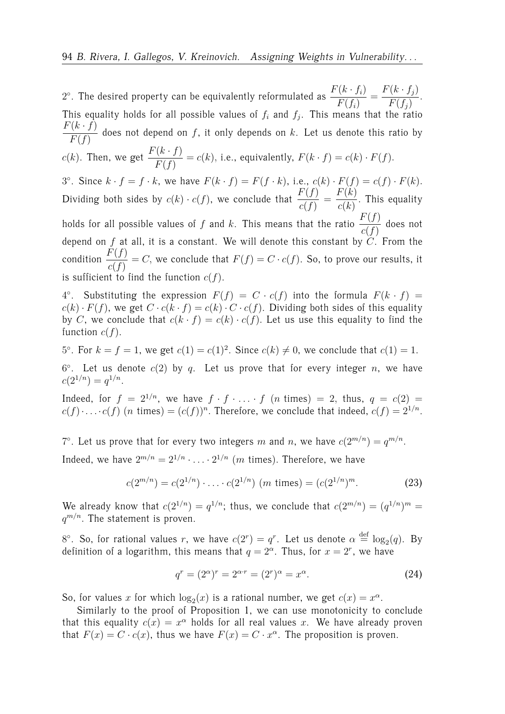2°. The desired property can be equivalently reformulated as  $\frac{F(k\cdot f_i)}{F(k\cdot f_i)}$  $F(f_i)$  $=\frac{F(k \cdot f_j)}{F(k)}$  $F(f_j)$ . This equality holds for all possible values of  $f_i$  and  $f_j$ . This means that the ratio  $F(k \cdot f)$  $\frac{(b-1)^2}{F(f)}$  does not depend on f, it only depends on k. Let us denote this ratio by  $c(k)$ . Then, we get  $\frac{F(k \cdot f)}{F(f)} = c(k)$ , i.e., equivalently,  $F(k \cdot f) = c(k) \cdot F(f)$ . 3°. Since  $k \cdot f = f \cdot k$ , we have  $F(k \cdot f) = F(f \cdot k)$ , i.e.,  $c(k) \cdot F(f) = c(f) \cdot F(k)$ . Dividing both sides by  $c(k) \cdot c(f)$ , we conclude that  $\frac{F(f)}{c(f)}$ =  $F(k)$  $\frac{c^{k}}{c(k)}$ . This equality holds for all possible values of  $f$  and  $k$ . This means that the ratio  $\dfrac{F(f)}{c(f)}$  does not depend on f at all, it is a constant. We will denote this constant by  $C'$ . From the condition  $\frac{F(f)}{c(f)} = C$ , we conclude that  $F(f) = C \cdot c(f)$ . So, to prove our results, it is sufficient to find the function  $c(f)$ .

4°. Substituting the expression  $F(f) = C \cdot c(f)$  into the formula  $F(k \cdot f) =$  $c(k) \cdot F(f)$ , we get  $C \cdot c(k \cdot f) = c(k) \cdot C \cdot c(f)$ . Dividing both sides of this equality by C, we conclude that  $c(k \cdot f) = c(k) \cdot c(f)$ . Let us use this equality to find the function  $c(f)$ .

5°. For  $k = f = 1$ , we get  $c(1) = c(1)^2$ . Since  $c(k) \neq 0$ , we conclude that  $c(1) = 1$ .

 $6^{\circ}$ . Let us denote  $c(2)$  by  $q$ . Let us prove that for every integer n, we have  $c(2^{1/n}) = q^{1/n}.$ 

Indeed, for  $f = 2^{1/n}$ , we have  $f \cdot f \cdot \ldots \cdot f$  (*n* times) = 2, thus,  $q = c(2)$  =  $c(f) \cdot \ldots \cdot c(f)$  (*n* times) =  $(c(f))^n$ . Therefore, we conclude that indeed,  $c(f) = 2^{1/n}$ .

7°. Let us prove that for every two integers m and n, we have  $c(2^{m/n}) = q^{m/n}$ . Indeed, we have  $2^{m/n} = 2^{1/n} \cdot \ldots \cdot 2^{1/n}$  (*m* times). Therefore, we have

$$
c(2^{m/n}) = c(2^{1/n}) \cdot \ldots \cdot c(2^{1/n}) \quad (m \text{ times}) = (c(2^{1/n})^m). \tag{23}
$$

We already know that  $c(2^{1/n}) = q^{1/n}$ ; thus, we conclude that  $c(2^{m/n}) = (q^{1/n})^m$  $q^{m/n}$ . The statement is proven.

8°. So, for rational values r, we have  $c(2^r) = q^r$ . Let us denote  $\alpha \stackrel{\text{def}}{=} \log_2(q)$ . By definition of a logarithm, this means that  $q = 2^{\alpha}$ . Thus, for  $x = 2^r$ , we have

$$
q^{r} = (2^{\alpha})^{r} = 2^{\alpha \cdot r} = (2^{r})^{\alpha} = x^{\alpha}.
$$
 (24)

So, for values x for which  $\log_2(x)$  is a rational number, we get  $c(x) = x^{\alpha}$ .

Similarly to the proof of Proposition 1, we can use monotonicity to conclude that this equality  $c(x) = x^{\alpha}$  holds for all real values x. We have already proven that  $F(x) = C \cdot c(x)$ , thus we have  $F(x) = C \cdot x^{\alpha}$ . The proposition is proven.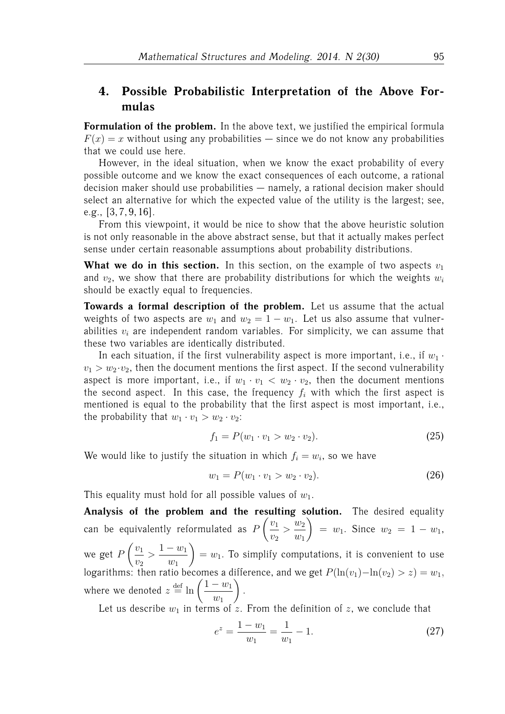### **4. Possible Probabilistic Interpretation of the Above Formulas**

**Formulation of the problem.** In the above text, we justified the empirical formula  $F(x) = x$  without using any probabilities — since we do not know any probabilities that we could use here.

However, in the ideal situation, when we know the exact probability of every possible outcome and we know the exact consequences of each outcome, a rational decision maker should use probabilities — namely, a rational decision maker should select an alternative for which the expected value of the utility is the largest; see, e.g., [3, 7, 9, 16].

From this viewpoint, it would be nice to show that the above heuristic solution is not only reasonable in the above abstract sense, but that it actually makes perfect sense under certain reasonable assumptions about probability distributions.

**What we do in this section.** In this section, on the example of two aspects  $v_1$ and  $v_2$ , we show that there are probability distributions for which the weights  $w_i$ should be exactly equal to frequencies.

**Towards a formal description of the problem.** Let us assume that the actual weights of two aspects are  $w_1$  and  $w_2 = 1 - w_1$ . Let us also assume that vulnerabilities  $v_i$  are independent random variables. For simplicity, we can assume that these two variables are identically distributed.

In each situation, if the first vulnerability aspect is more important, i.e., if  $w_1$ .  $v_1 > w_2 \cdot v_2$ , then the document mentions the first aspect. If the second vulnerability aspect is more important, i.e., if  $w_1 \cdot v_1 < w_2 \cdot v_2$ , then the document mentions the second aspect. In this case, the frequency  $f_i$  with which the first aspect is mentioned is equal to the probability that the first aspect is most important, i.e., the probability that  $w_1 \cdot v_1 > w_2 \cdot v_2$ :

$$
f_1 = P(w_1 \cdot v_1 > w_2 \cdot v_2). \tag{25}
$$

We would like to justify the situation in which  $f_i = w_i$ , so we have

$$
w_1 = P(w_1 \cdot v_1 > w_2 \cdot v_2). \tag{26}
$$

This equality must hold for all possible values of  $w_1$ .

**Analysis of the problem and the resulting solution.** The desired equality can be equivalently reformulated as  $F$  $\sqrt{v_1}$  $v_2$  $\frac{w_2}{w_1}$  $w_1$  $\setminus$  $= w_1$ . Since  $w_2 = 1 - w_1$ , we get F  $\sqrt{v_1}$  $v_2$  $>$  $\frac{1 - w_1}{ }$  $w_1$  $\setminus$  $= w_1$ . To simplify computations, it is convenient to use logarithms: then ratio becomes a difference, and we get  $P(\ln(v_1) - \ln(v_2) > z) = w_1$ , where we denoted  $z \stackrel{\text{def}}{=} \ln \left( \frac{1 - w_1}{w_1} \right)$  $w_1$  $\setminus$ .

Let us describe  $w_1$  in terms of z. From the definition of z, we conclude that

$$
e^{z} = \frac{1 - w_1}{w_1} = \frac{1}{w_1} - 1.
$$
\n(27)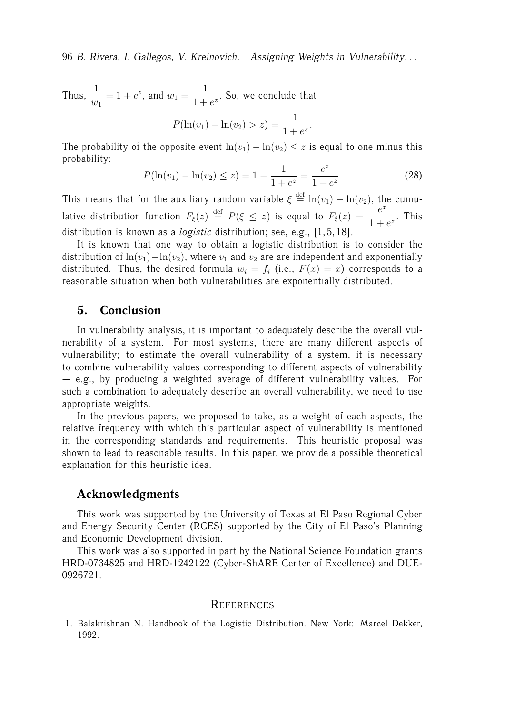Thus,  $\frac{1}{1}$  $w_1$  $= 1 + e^z$ , and  $w_1 =$ 1  $\frac{1}{1+e^z}$ . So, we conclude that

$$
P(\ln(v_1) - \ln(v_2) > z) = \frac{1}{1 + e^z}.
$$

The probability of the opposite event  $ln(v_1) - ln(v_2) \leq z$  is equal to one minus this probability:

$$
P(\ln(v_1) - \ln(v_2) \le z) = 1 - \frac{1}{1 + e^z} = \frac{e^z}{1 + e^z}.
$$
 (28)

This means that for the auxiliary random variable  $\xi \stackrel{\text{def}}{=} \ln(v_1) - \ln(v_2)$ , the cumulative distribution function  $F_{\xi}(z) \stackrel{\text{def}}{=} P(\xi \leq z)$  is equal to  $F_{\xi}(z) = \frac{e^{z}}{1+z}$  $\frac{c}{1+e^z}$ . This distribution is known as a *logistic* distribution; see, e.g., [1, 5, 18].

It is known that one way to obtain a logistic distribution is to consider the distribution of  $ln(v_1) - ln(v_2)$ , where  $v_1$  and  $v_2$  are are independent and exponentially distributed. Thus, the desired formula  $w_i = f_i$  (i.e.,  $F(x) = x$ ) corresponds to a reasonable situation when both vulnerabilities are exponentially distributed.

### **5. Conclusion**

In vulnerability analysis, it is important to adequately describe the overall vulnerability of a system. For most systems, there are many different aspects of vulnerability; to estimate the overall vulnerability of a system, it is necessary to combine vulnerability values corresponding to different aspects of vulnerability — e.g., by producing a weighted average of different vulnerability values. For such a combination to adequately describe an overall vulnerability, we need to use appropriate weights.

In the previous papers, we proposed to take, as a weight of each aspects, the relative frequency with which this particular aspect of vulnerability is mentioned in the corresponding standards and requirements. This heuristic proposal was shown to lead to reasonable results. In this paper, we provide a possible theoretical explanation for this heuristic idea.

### **Acknowledgments**

This work was supported by the University of Texas at El Paso Regional Cyber and Energy Security Center (RCES) supported by the City of El Paso's Planning and Economic Development division.

This work was also supported in part by the National Science Foundation grants HRD-0734825 and HRD-1242122 (Cyber-ShARE Center of Excellence) and DUE-0926721.

#### **REFERENCES**

1. Balakrishnan N. Handbook of the Logistic Distribution. New York: Marcel Dekker, 1992.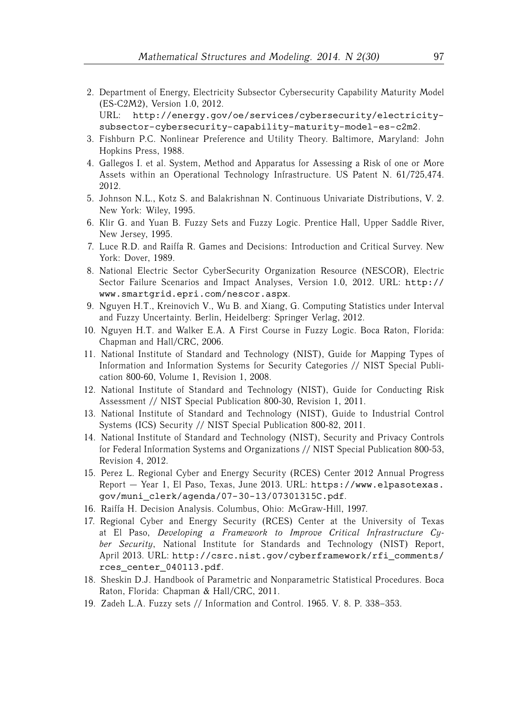2. Department of Energy, Electricity Subsector Cybersecurity Capability Maturity Model (ES-C2M2), Version 1.0, 2012. URL: http://energy.gov/oe/services/cybersecurity/electricity-

subsector-cybersecurity-capability-maturity-model-es-c2m2.

- 3. Fishburn P.C. Nonlinear Preference and Utility Theory. Baltimore, Maryland: John Hopkins Press, 1988.
- 4. Gallegos I. et al. System, Method and Apparatus for Assessing a Risk of one or More Assets within an Operational Technology Infrastructure. US Patent N. 61/725,474. 2012.
- 5. Johnson N.L., Kotz S. and Balakrishnan N. Continuous Univariate Distributions, V. 2. New York: Wiley, 1995.
- 6. Klir G. and Yuan B. Fuzzy Sets and Fuzzy Logic. Prentice Hall, Upper Saddle River, New Jersey, 1995.
- 7. Luce R.D. and Raiffa R. Games and Decisions: Introduction and Critical Survey. New York: Dover, 1989.
- 8. National Electric Sector CyberSecurity Organization Resource (NESCOR), Electric Sector Failure Scenarios and Impact Analyses, Version 1.0, 2012. URL: http:// www.smartgrid.epri.com/nescor.aspx.
- 9. Nguyen H.T., Kreinovich V., Wu B. and Xiang, G. Computing Statistics under Interval and Fuzzy Uncertainty. Berlin, Heidelberg: Springer Verlag, 2012.
- 10. Nguyen H.T. and Walker E.A. A First Course in Fuzzy Logic. Boca Raton, Florida: Chapman and Hall/CRC, 2006.
- 11. National Institute of Standard and Technology (NIST), Guide for Mapping Types of Information and Information Systems for Security Categories // NIST Special Publication 800-60, Volume 1, Revision 1, 2008.
- 12. National Institute of Standard and Technology (NIST), Guide for Conducting Risk Assessment // NIST Special Publication 800-30, Revision 1, 2011.
- 13. National Institute of Standard and Technology (NIST), Guide to Industrial Control Systems (ICS) Security // NIST Special Publication 800-82, 2011.
- 14. National Institute of Standard and Technology (NIST), Security and Privacy Controls for Federal Information Systems and Organizations // NIST Special Publication 800-53, Revision 4, 2012.
- 15. Perez L. Regional Cyber and Energy Security (RCES) Center 2012 Annual Progress Report — Year 1, El Paso, Texas, June 2013. URL: https://www.elpasotexas. gov/muni\_clerk/agenda/07-30-13/07301315C.pdf.
- 16. Raiffa H. Decision Analysis. Columbus, Ohio: McGraw-Hill, 1997.
- 17. Regional Cyber and Energy Security (RCES) Center at the University of Texas at El Paso, *Developing a Framework to Improve Critical Infrastructure Cyber Security*, National Institute for Standards and Technology (NIST) Report, April 2013. URL: http://csrc.nist.gov/cyberframework/rfi\_comments/ rces center 040113.pdf.
- 18. Sheskin D.J. Handbook of Parametric and Nonparametric Statistical Procedures. Boca Raton, Florida: Chapman & Hall/CRC, 2011.
- 19. Zadeh L.A. Fuzzy sets // Information and Control. 1965. V. 8. P. 338–353.